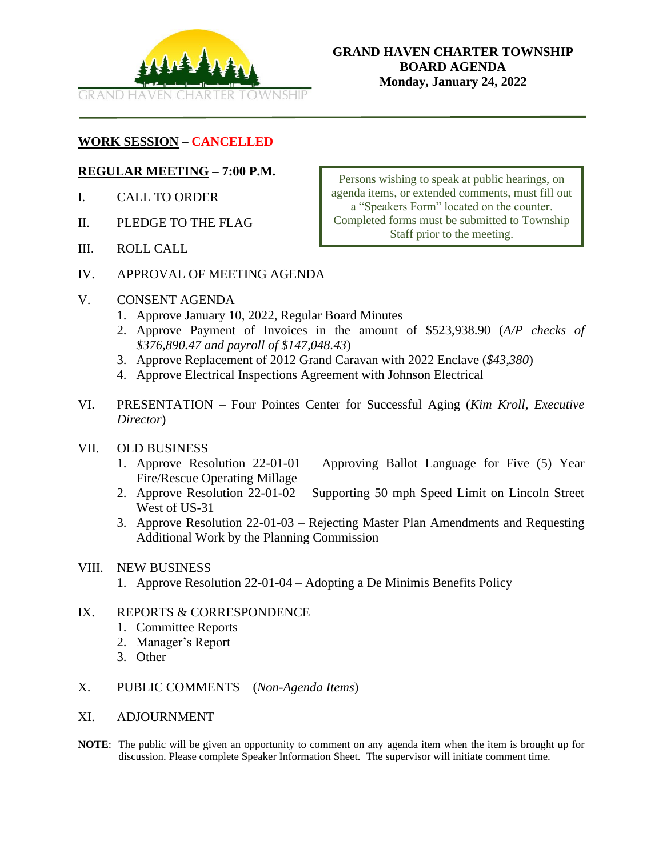

## **WORK SESSION – CANCELLED**

#### **REGULAR MEETING – 7:00 P.M.**

- I. CALL TO ORDER
- II. PLEDGE TO THE FLAG
- III. ROLL CALL

Persons wishing to speak at public hearings, on agenda items, or extended comments, must fill out a "Speakers Form" located on the counter. Completed forms must be submitted to Township Staff prior to the meeting.

- IV. APPROVAL OF MEETING AGENDA
- V. CONSENT AGENDA
	- 1. Approve January 10, 2022, Regular Board Minutes
	- 2. Approve Payment of Invoices in the amount of \$523,938.90 (*A/P checks of \$376,890.47 and payroll of \$147,048.43*)
	- 3. Approve Replacement of 2012 Grand Caravan with 2022 Enclave (*\$43,380*)
	- 4. Approve Electrical Inspections Agreement with Johnson Electrical
- VI. PRESENTATION Four Pointes Center for Successful Aging (*Kim Kroll, Executive Director*)

#### VII. OLD BUSINESS

- 1. Approve Resolution 22-01-01 Approving Ballot Language for Five (5) Year Fire/Rescue Operating Millage
- 2. Approve Resolution 22-01-02 Supporting 50 mph Speed Limit on Lincoln Street West of US-31
- 3. Approve Resolution 22-01-03 Rejecting Master Plan Amendments and Requesting Additional Work by the Planning Commission

#### VIII. NEW BUSINESS

1. Approve Resolution 22-01-04 – Adopting a De Minimis Benefits Policy

#### IX. REPORTS & CORRESPONDENCE

- 1. Committee Reports
- 2. Manager's Report
- 3. Other
- X. PUBLIC COMMENTS (*Non-Agenda Items*)
- XI. ADJOURNMENT
- **NOTE**: The public will be given an opportunity to comment on any agenda item when the item is brought up for discussion. Please complete Speaker Information Sheet. The supervisor will initiate comment time.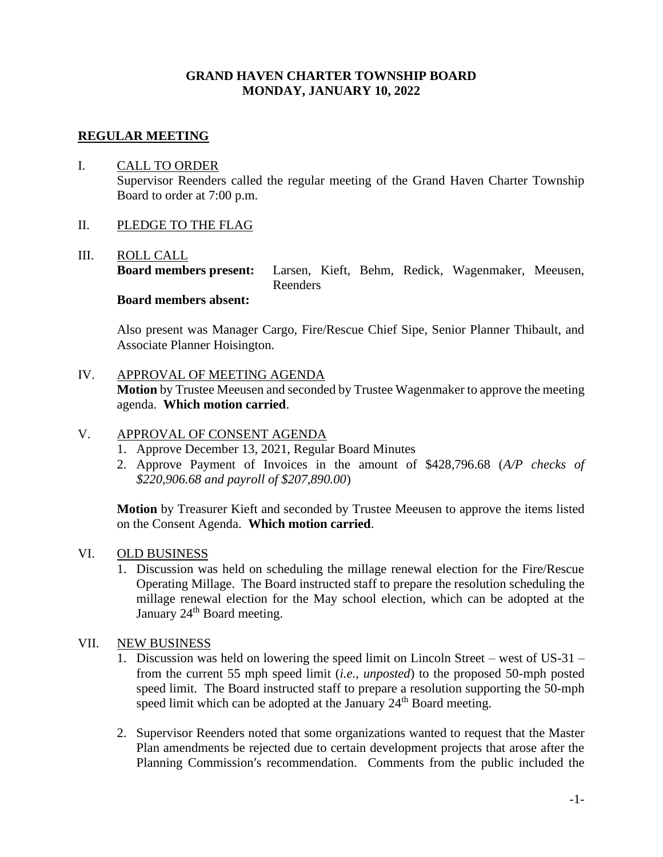## **GRAND HAVEN CHARTER TOWNSHIP BOARD MONDAY, JANUARY 10, 2022**

### **REGULAR MEETING**

## I. CALL TO ORDER Supervisor Reenders called the regular meeting of the Grand Haven Charter Township Board to order at 7:00 p.m.

#### II. PLEDGE TO THE FLAG

#### III. ROLL CALL

**Board members present:** Larsen, Kieft, Behm, Redick, Wagenmaker, Meeusen, Reenders

## **Board members absent:**

Also present was Manager Cargo, Fire/Rescue Chief Sipe, Senior Planner Thibault, and Associate Planner Hoisington.

### IV. APPROVAL OF MEETING AGENDA

**Motion** by Trustee Meeusen and seconded by Trustee Wagenmaker to approve the meeting agenda. **Which motion carried**.

## V. APPROVAL OF CONSENT AGENDA

- 1. Approve December 13, 2021, Regular Board Minutes
- 2. Approve Payment of Invoices in the amount of \$428,796.68 (*A/P checks of \$220,906.68 and payroll of \$207,890.00*)

**Motion** by Treasurer Kieft and seconded by Trustee Meeusen to approve the items listed on the Consent Agenda. **Which motion carried**.

#### VI. OLD BUSINESS

1. Discussion was held on scheduling the millage renewal election for the Fire/Rescue Operating Millage. The Board instructed staff to prepare the resolution scheduling the millage renewal election for the May school election, which can be adopted at the January 24<sup>th</sup> Board meeting.

#### VII. NEW BUSINESS

- 1. Discussion was held on lowering the speed limit on Lincoln Street west of US-31 from the current 55 mph speed limit (*i.e., unposted*) to the proposed 50-mph posted speed limit. The Board instructed staff to prepare a resolution supporting the 50-mph speed limit which can be adopted at the January  $24<sup>th</sup>$  Board meeting.
- 2. Supervisor Reenders noted that some organizations wanted to request that the Master Plan amendments be rejected due to certain development projects that arose after the Planning Commission′s recommendation. Comments from the public included the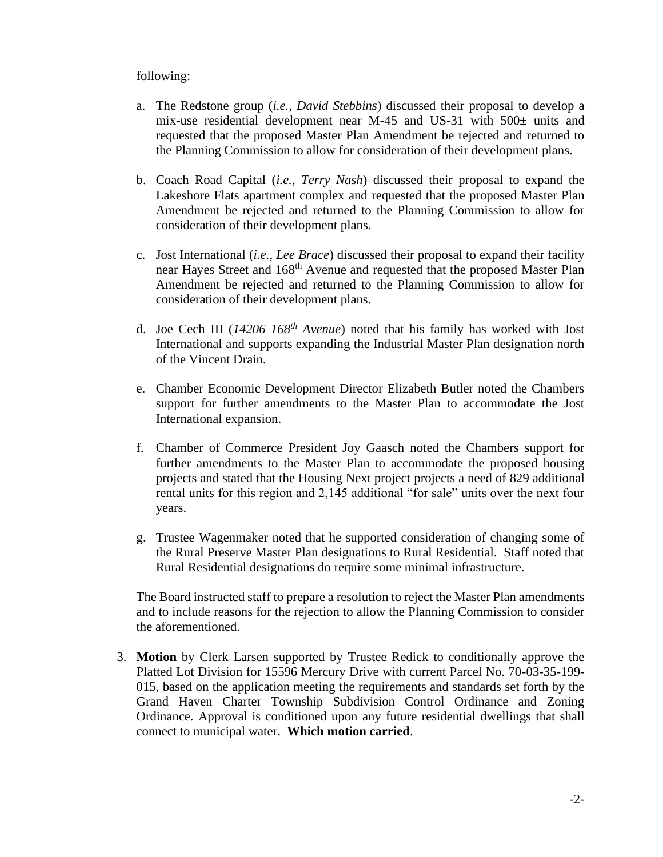## following:

- a. The Redstone group (*i.e., David Stebbins*) discussed their proposal to develop a mix-use residential development near M-45 and US-31 with  $500\pm$  units and requested that the proposed Master Plan Amendment be rejected and returned to the Planning Commission to allow for consideration of their development plans.
- b. Coach Road Capital (*i.e., Terry Nash*) discussed their proposal to expand the Lakeshore Flats apartment complex and requested that the proposed Master Plan Amendment be rejected and returned to the Planning Commission to allow for consideration of their development plans.
- c. Jost International (*i.e., Lee Brace*) discussed their proposal to expand their facility near Hayes Street and 168th Avenue and requested that the proposed Master Plan Amendment be rejected and returned to the Planning Commission to allow for consideration of their development plans.
- d. Joe Cech III (*14206 168th Avenue*) noted that his family has worked with Jost International and supports expanding the Industrial Master Plan designation north of the Vincent Drain.
- e. Chamber Economic Development Director Elizabeth Butler noted the Chambers support for further amendments to the Master Plan to accommodate the Jost International expansion.
- f. Chamber of Commerce President Joy Gaasch noted the Chambers support for further amendments to the Master Plan to accommodate the proposed housing projects and stated that the Housing Next project projects a need of 829 additional rental units for this region and 2,145 additional "for sale" units over the next four years.
- g. Trustee Wagenmaker noted that he supported consideration of changing some of the Rural Preserve Master Plan designations to Rural Residential. Staff noted that Rural Residential designations do require some minimal infrastructure.

The Board instructed staff to prepare a resolution to reject the Master Plan amendments and to include reasons for the rejection to allow the Planning Commission to consider the aforementioned.

3. **Motion** by Clerk Larsen supported by Trustee Redick to conditionally approve the Platted Lot Division for 15596 Mercury Drive with current Parcel No. 70-03-35-199- 015, based on the application meeting the requirements and standards set forth by the Grand Haven Charter Township Subdivision Control Ordinance and Zoning Ordinance. Approval is conditioned upon any future residential dwellings that shall connect to municipal water. **Which motion carried**.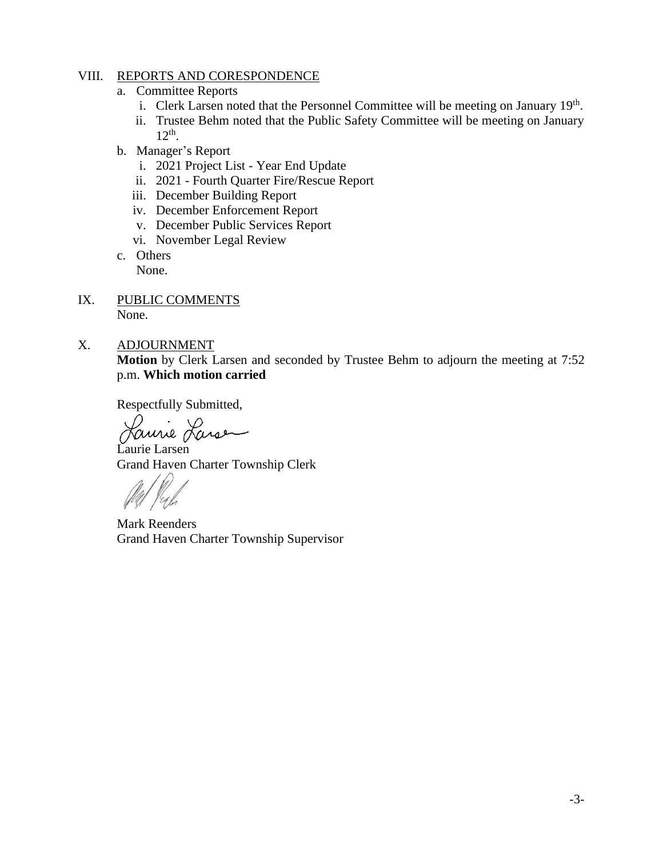## VIII. REPORTS AND CORESPONDENCE

- a. Committee Reports
	- i. Clerk Larsen noted that the Personnel Committee will be meeting on January 19<sup>th</sup>.
	- ii. Trustee Behm noted that the Public Safety Committee will be meeting on January 12th .
- b. Manager's Report
	- i. 2021 Project List Year End Update
	- ii. 2021 Fourth Quarter Fire/Rescue Report
	- iii. December Building Report
	- iv. December Enforcement Report
	- v. December Public Services Report
	- vi. November Legal Review
- c. Others None.
- IX. PUBLIC COMMENTS None.
- X. ADJOURNMENT

**Motion** by Clerk Larsen and seconded by Trustee Behm to adjourn the meeting at 7:52 p.m. **Which motion carried**

Respectfully Submitted,

Laurie Larse

Laurie Larsen Grand Haven Charter Township Clerk

Mark Reenders Grand Haven Charter Township Supervisor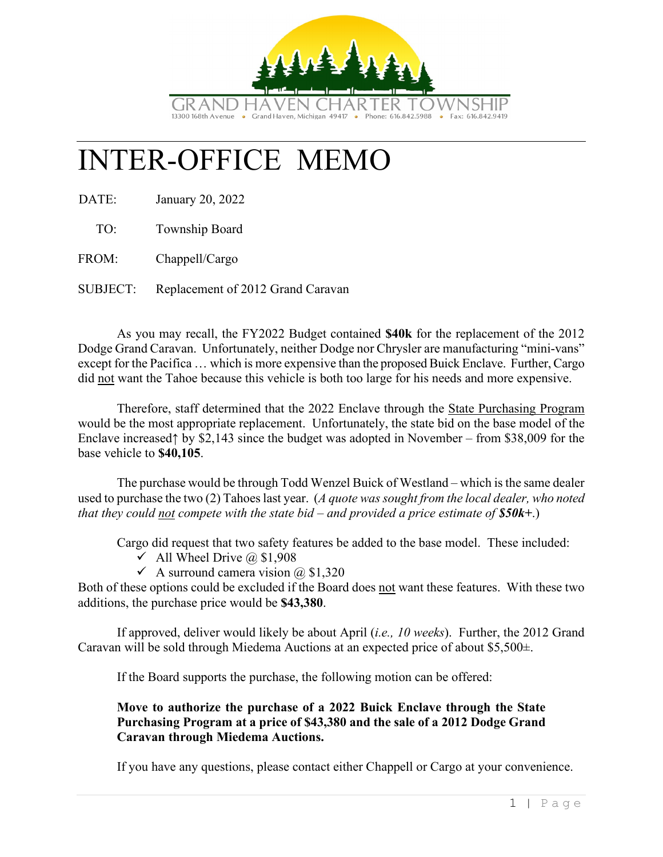

# INTER-OFFICE MEMO

DATE: January 20, 2022

TO: Township Board

FROM: Chappell/Cargo

SUBJECT: Replacement of 2012 Grand Caravan

As you may recall, the FY2022 Budget contained **\$40k** for the replacement of the 2012 Dodge Grand Caravan. Unfortunately, neither Dodge nor Chrysler are manufacturing "mini-vans" except for the Pacifica … which is more expensive than the proposed Buick Enclave. Further, Cargo did not want the Tahoe because this vehicle is both too large for his needs and more expensive.

Therefore, staff determined that the 2022 Enclave through the State Purchasing Program would be the most appropriate replacement. Unfortunately, the state bid on the base model of the Enclave increased↑ by \$2,143 since the budget was adopted in November – from \$38,009 for the base vehicle to **\$40,105**.

The purchase would be through Todd Wenzel Buick of Westland – which is the same dealer used to purchase the two (2) Tahoes last year. (*A quote was sought from the local dealer, who noted that they could not compete with the state bid – and provided a price estimate of \$50k+*.)

Cargo did request that two safety features be added to the base model. These included:

- $\checkmark$  All Wheel Drive @ \$1,908
- $\checkmark$  A surround camera vision  $\omega$  \$1,320

Both of these options could be excluded if the Board does not want these features. With these two additions, the purchase price would be **\$43,380**.

If approved, deliver would likely be about April (*i.e., 10 weeks*). Further, the 2012 Grand Caravan will be sold through Miedema Auctions at an expected price of about \$5,500±.

If the Board supports the purchase, the following motion can be offered:

## **Move to authorize the purchase of a 2022 Buick Enclave through the State Purchasing Program at a price of \$43,380 and the sale of a 2012 Dodge Grand Caravan through Miedema Auctions.**

If you have any questions, please contact either Chappell or Cargo at your convenience.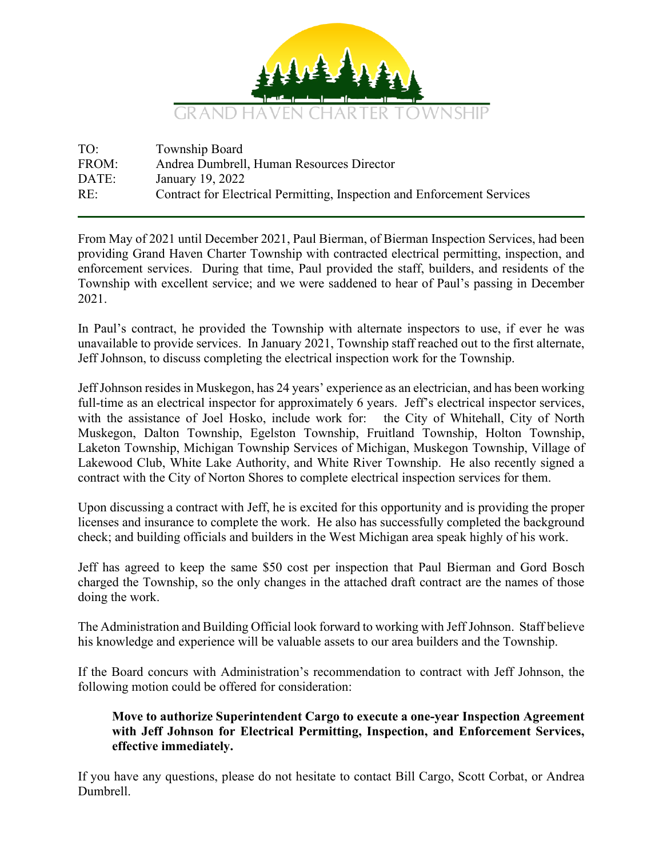

| TO:   | Township Board                                                          |
|-------|-------------------------------------------------------------------------|
| FROM: | Andrea Dumbrell, Human Resources Director                               |
| DATE: | January 19, 2022                                                        |
| RE:   | Contract for Electrical Permitting, Inspection and Enforcement Services |

From May of 2021 until December 2021, Paul Bierman, of Bierman Inspection Services, had been providing Grand Haven Charter Township with contracted electrical permitting, inspection, and enforcement services. During that time, Paul provided the staff, builders, and residents of the Township with excellent service; and we were saddened to hear of Paul's passing in December 2021.

In Paul's contract, he provided the Township with alternate inspectors to use, if ever he was unavailable to provide services. In January 2021, Township staff reached out to the first alternate, Jeff Johnson, to discuss completing the electrical inspection work for the Township.

JeffJohnson resides in Muskegon, has 24 years' experience as an electrician, and has been working full-time as an electrical inspector for approximately 6 years. Jeff's electrical inspector services, with the assistance of Joel Hosko, include work for: the City of Whitehall, City of North Muskegon, Dalton Township, Egelston Township, Fruitland Township, Holton Township, Laketon Township, Michigan Township Services of Michigan, Muskegon Township, Village of Lakewood Club, White Lake Authority, and White River Township. He also recently signed a contract with the City of Norton Shores to complete electrical inspection services for them.

Upon discussing a contract with Jeff, he is excited for this opportunity and is providing the proper licenses and insurance to complete the work. He also has successfully completed the background check; and building officials and builders in the West Michigan area speak highly of his work.

Jeff has agreed to keep the same \$50 cost per inspection that Paul Bierman and Gord Bosch charged the Township, so the only changes in the attached draft contract are the names of those doing the work.

The Administration and Building Official look forward to working with Jeff Johnson. Staff believe his knowledge and experience will be valuable assets to our area builders and the Township.

If the Board concurs with Administration's recommendation to contract with Jeff Johnson, the following motion could be offered for consideration:

## **Move to authorize Superintendent Cargo to execute a one-year Inspection Agreement with Jeff Johnson for Electrical Permitting, Inspection, and Enforcement Services, effective immediately.**

If you have any questions, please do not hesitate to contact Bill Cargo, Scott Corbat, or Andrea Dumbrell.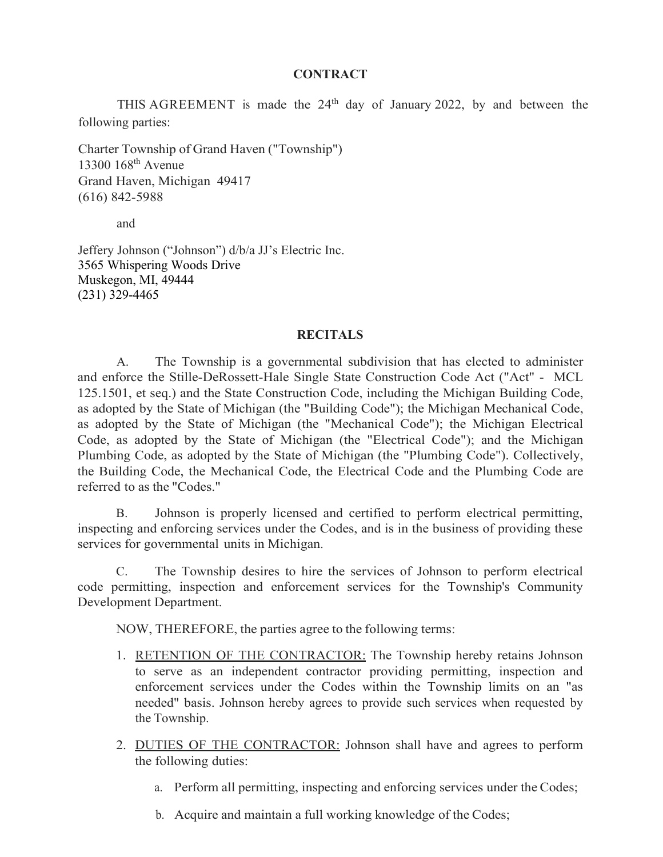## **CONTRACT**

THIS AGREEMENT is made the  $24<sup>th</sup>$  day of January 2022, by and between the following parties:

Charter Township of Grand Haven ("Township") 13300 168th Avenue Grand Haven, Michigan 49417 (616) 842-5988

and

Jeffery Johnson ("Johnson") d/b/a JJ's Electric Inc. 3565 Whispering Woods Drive Muskegon, MI, 49444 (231) 329-4465

#### **RECITALS**

A. The Township is a governmental subdivision that has elected to administer and enforce the Stille-DeRossett-Hale Single State Construction Code Act ("Act" - MCL 125.1501, et seq.) and the State Construction Code, including the Michigan Building Code, as adopted by the State of Michigan (the "Building Code"); the Michigan Mechanical Code, as adopted by the State of Michigan (the "Mechanical Code"); the Michigan Electrical Code, as adopted by the State of Michigan (the "Electrical Code"); and the Michigan Plumbing Code, as adopted by the State of Michigan (the "Plumbing Code"). Collectively, the Building Code, the Mechanical Code, the Electrical Code and the Plumbing Code are referred to as the "Codes."

B. Johnson is properly licensed and certified to perform electrical permitting, inspecting and enforcing services under the Codes, and is in the business of providing these services for governmental units in Michigan.

C. The Township desires to hire the services of Johnson to perform electrical code permitting, inspection and enforcement services for the Township's Community Development Department.

NOW, THEREFORE, the parties agree to the following terms:

- 1. RETENTION OF THE CONTRACTOR: The Township hereby retains Johnson to serve as an independent contractor providing permitting, inspection and enforcement services under the Codes within the Township limits on an "as needed" basis. Johnson hereby agrees to provide such services when requested by the Township.
- 2. DUTIES OF THE CONTRACTOR: Johnson shall have and agrees to perform the following duties:
	- a. Perform all permitting, inspecting and enforcing services under the Codes;
	- b. Acquire and maintain a full working knowledge of the Codes;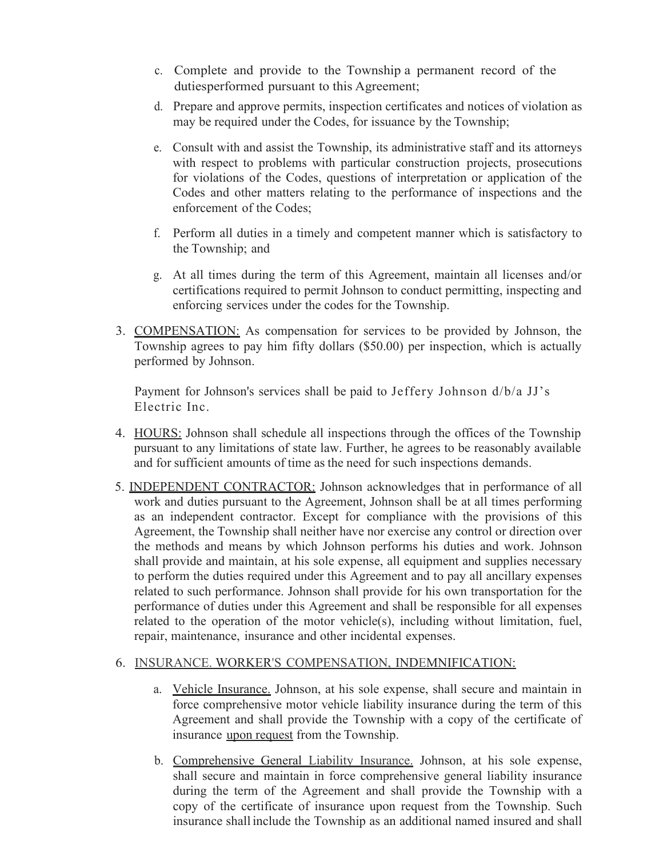- c. Complete and provide to the Township a permanent record of the dutiesperformed pursuant to this Agreement;
- d. Prepare and approve permits, inspection certificates and notices of violation as may be required under the Codes, for issuance by the Township;
- e. Consult with and assist the Township, its administrative staff and its attorneys with respect to problems with particular construction projects, prosecutions for violations of the Codes, questions of interpretation or application of the Codes and other matters relating to the performance of inspections and the enforcement of the Codes;
- f. Perform all duties in a timely and competent manner which is satisfactory to the Township; and
- g. At all times during the term of this Agreement, maintain all licenses and/or certifications required to permit Johnson to conduct permitting, inspecting and enforcing services under the codes for the Township.
- 3. COMPENSATION: As compensation for services to be provided by Johnson, the Township agrees to pay him fifty dollars (\$50.00) per inspection, which is actually performed by Johnson.

Payment for Johnson's services shall be paid to Jeffery Johnson d/b/a JJ's Electric Inc.

- 4. HOURS: Johnson shall schedule all inspections through the offices of the Township pursuant to any limitations of state law. Further, he agrees to be reasonably available and for sufficient amounts of time as the need for such inspections demands.
- 5. INDEPENDENT CONTRACTOR: Johnson acknowledges that in performance of all work and duties pursuant to the Agreement, Johnson shall be at all times performing as an independent contractor. Except for compliance with the provisions of this Agreement, the Township shall neither have nor exercise any control or direction over the methods and means by which Johnson performs his duties and work. Johnson shall provide and maintain, at his sole expense, all equipment and supplies necessary to perform the duties required under this Agreement and to pay all ancillary expenses related to such performance. Johnson shall provide for his own transportation for the performance of duties under this Agreement and shall be responsible for all expenses related to the operation of the motor vehicle(s), including without limitation, fuel, repair, maintenance, insurance and other incidental expenses.

## 6. INSURANCE. WORKER'S COMPENSATION, INDEMNIFICATION:

- a. Vehicle Insurance. Johnson, at his sole expense, shall secure and maintain in force comprehensive motor vehicle liability insurance during the term of this Agreement and shall provide the Township with a copy of the certificate of insurance upon request from the Township.
- b. Comprehensive General Liability Insurance. Johnson, at his sole expense, shall secure and maintain in force comprehensive general liability insurance during the term of the Agreement and shall provide the Township with a copy of the certificate of insurance upon request from the Township. Such insurance shall include the Township as an additional named insured and shall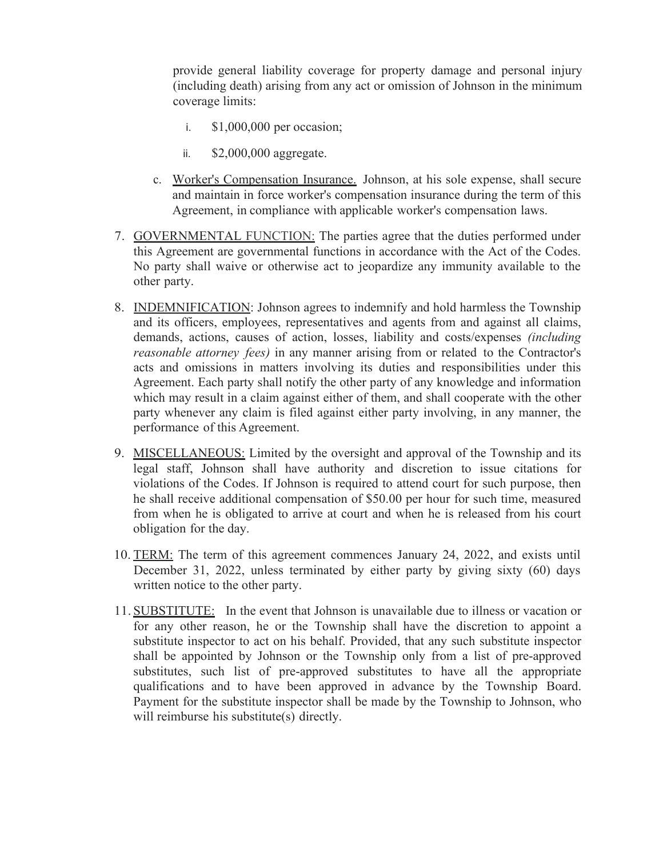provide general liability coverage for property damage and personal injury (including death) arising from any act or omission of Johnson in the minimum coverage limits:

- i. \$1,000,000 per occasion;
- ii. \$2,000,000 aggregate.
- c. Worker's Compensation Insurance. Johnson, at his sole expense, shall secure and maintain in force worker's compensation insurance during the term of this Agreement, in compliance with applicable worker's compensation laws.
- 7. GOVERNMENTAL FUNCTION: The parties agree that the duties performed under this Agreement are governmental functions in accordance with the Act of the Codes. No party shall waive or otherwise act to jeopardize any immunity available to the other party.
- 8. INDEMNIFICATION: Johnson agrees to indemnify and hold harmless the Township and its officers, employees, representatives and agents from and against all claims, demands, actions, causes of action, losses, liability and costs/expenses *(including reasonable attorney fees)* in any manner arising from or related to the Contractor's acts and omissions in matters involving its duties and responsibilities under this Agreement. Each party shall notify the other party of any knowledge and information which may result in a claim against either of them, and shall cooperate with the other party whenever any claim is filed against either party involving, in any manner, the performance of this Agreement.
- 9. MISCELLANEOUS: Limited by the oversight and approval of the Township and its legal staff, Johnson shall have authority and discretion to issue citations for violations of the Codes. If Johnson is required to attend court for such purpose, then he shall receive additional compensation of \$50.00 per hour for such time, measured from when he is obligated to arrive at court and when he is released from his court obligation for the day.
- 10. TERM: The term of this agreement commences January 24, 2022, and exists until December 31, 2022, unless terminated by either party by giving sixty (60) days written notice to the other party.
- 11. SUBSTITUTE: In the event that Johnson is unavailable due to illness or vacation or for any other reason, he or the Township shall have the discretion to appoint a substitute inspector to act on his behalf. Provided, that any such substitute inspector shall be appointed by Johnson or the Township only from a list of pre-approved substitutes, such list of pre-approved substitutes to have all the appropriate qualifications and to have been approved in advance by the Township Board. Payment for the substitute inspector shall be made by the Township to Johnson, who will reimburse his substitute(s) directly.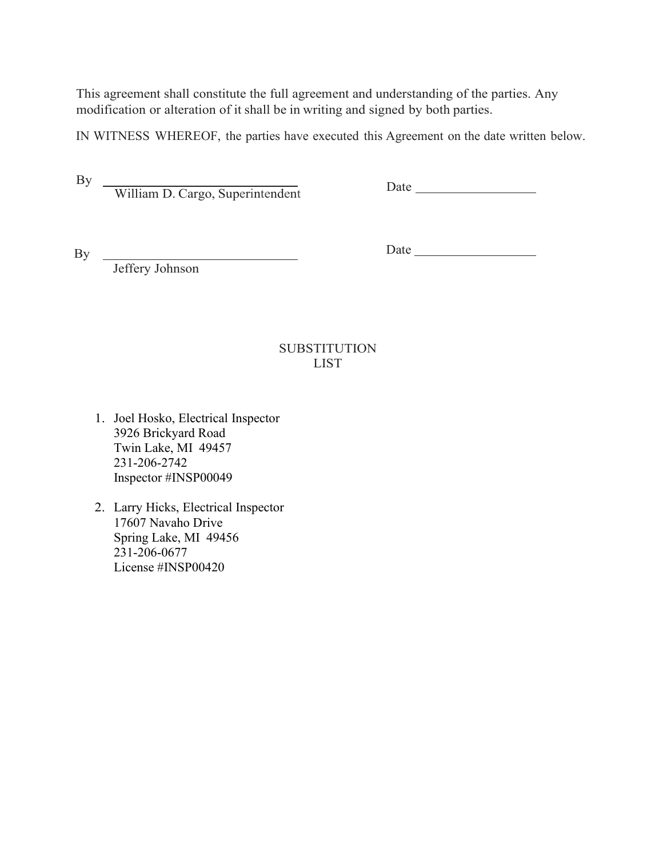This agreement shall constitute the full agreement and understanding of the parties. Any modification or alteration of it shall be in writing and signed by both parties.

IN WITNESS WHEREOF, the parties have executed this Agreement on the date written below.

William D. Cargo, Superintendent

Date

By \_

By

Date and the state of the state of the state of the state of the state of the state of the state of the state of the state of the state of the state of the state of the state of the state of the state of the state of the s

Jeffery Johnson

# **SUBSTITUTION** LIST

- 1. Joel Hosko, Electrical Inspector 3926 Brickyard Road Twin Lake, MI 49457 231-206-2742 Inspector #INSP00049
- 2. Larry Hicks, Electrical Inspector 17607 Navaho Drive Spring Lake, MI 49456 231-206-0677 License #INSP00420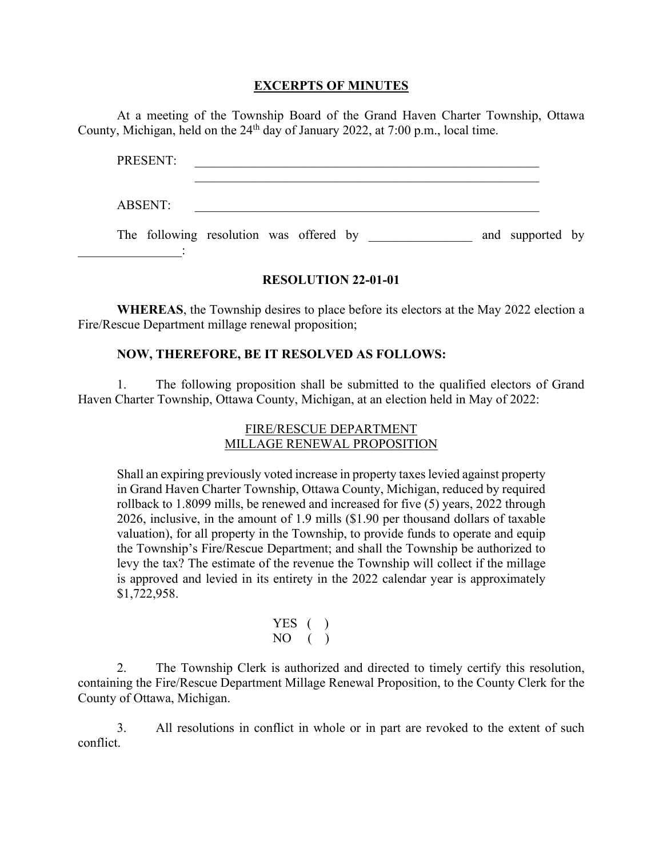#### **EXCERPTS OF MINUTES**

At a meeting of the Township Board of the Grand Haven Charter Township, Ottawa County, Michigan, held on the  $24<sup>th</sup>$  day of January 2022, at 7:00 p.m., local time.

| PRESENT:                                |  |  |  |                  |  |
|-----------------------------------------|--|--|--|------------------|--|
| <b>ABSENT:</b>                          |  |  |  |                  |  |
| The following resolution was offered by |  |  |  | and supported by |  |

#### **RESOLUTION 22-01-01**

**WHEREAS**, the Township desires to place before its electors at the May 2022 election a Fire/Rescue Department millage renewal proposition;

### **NOW, THEREFORE, BE IT RESOLVED AS FOLLOWS:**

1. The following proposition shall be submitted to the qualified electors of Grand Haven Charter Township, Ottawa County, Michigan, at an election held in May of 2022:

### FIRE/RESCUE DEPARTMENT MILLAGE RENEWAL PROPOSITION

Shall an expiring previously voted increase in property taxes levied against property in Grand Haven Charter Township, Ottawa County, Michigan, reduced by required rollback to 1.8099 mills, be renewed and increased for five (5) years, 2022 through 2026, inclusive, in the amount of 1.9 mills (\$1.90 per thousand dollars of taxable valuation), for all property in the Township, to provide funds to operate and equip the Township's Fire/Rescue Department; and shall the Township be authorized to levy the tax? The estimate of the revenue the Township will collect if the millage is approved and levied in its entirety in the 2022 calendar year is approximately \$1,722,958.

$$
\begin{array}{cc} \text{YES} & \text{()} \\ \text{NO} & \text{()} \end{array}
$$

2. The Township Clerk is authorized and directed to timely certify this resolution, containing the Fire/Rescue Department Millage Renewal Proposition, to the County Clerk for the County of Ottawa, Michigan.

3. All resolutions in conflict in whole or in part are revoked to the extent of such conflict.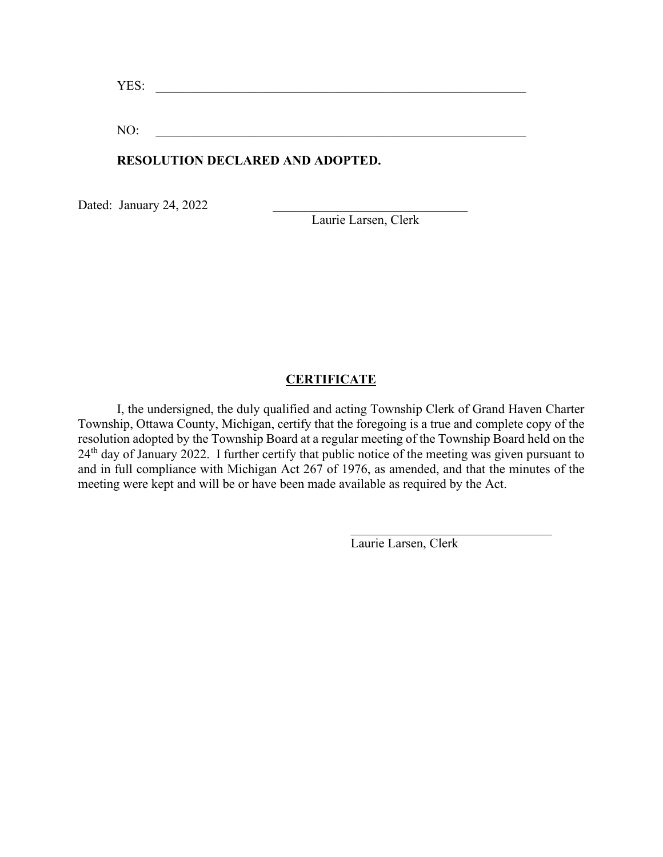YES:

NO:

## **RESOLUTION DECLARED AND ADOPTED.**

Dated: January 24, 2022

Laurie Larsen, Clerk

## **CERTIFICATE**

I, the undersigned, the duly qualified and acting Township Clerk of Grand Haven Charter Township, Ottawa County, Michigan, certify that the foregoing is a true and complete copy of the resolution adopted by the Township Board at a regular meeting of the Township Board held on the 24<sup>th</sup> day of January 2022. I further certify that public notice of the meeting was given pursuant to and in full compliance with Michigan Act 267 of 1976, as amended, and that the minutes of the meeting were kept and will be or have been made available as required by the Act.

Laurie Larsen, Clerk

 $\mathcal{L}_\mathcal{L}$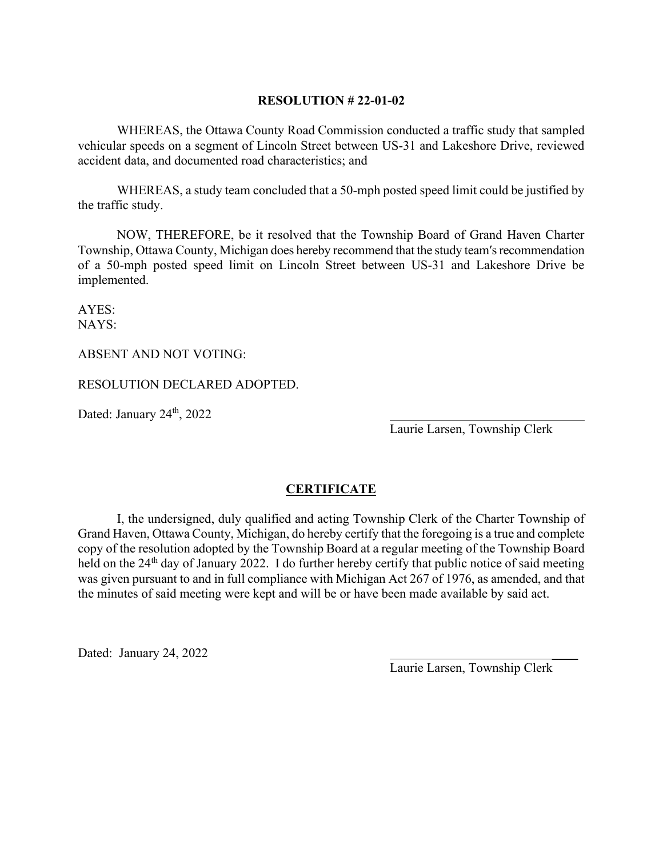#### **RESOLUTION # 22-01-02**

WHEREAS, the Ottawa County Road Commission conducted a traffic study that sampled vehicular speeds on a segment of Lincoln Street between US-31 and Lakeshore Drive, reviewed accident data, and documented road characteristics; and

WHEREAS, a study team concluded that a 50-mph posted speed limit could be justified by the traffic study.

NOW, THEREFORE, be it resolved that the Township Board of Grand Haven Charter Township, Ottawa County, Michigan does hereby recommend that the study team′s recommendation of a 50-mph posted speed limit on Lincoln Street between US-31 and Lakeshore Drive be implemented.

AYES: NAYS:

ABSENT AND NOT VOTING:

RESOLUTION DECLARED ADOPTED.

Dated: January  $24<sup>th</sup>$ ,  $2022$ 

Laurie Larsen, Township Clerk

## **CERTIFICATE**

I, the undersigned, duly qualified and acting Township Clerk of the Charter Township of Grand Haven, Ottawa County, Michigan, do hereby certify that the foregoing is a true and complete copy of the resolution adopted by the Township Board at a regular meeting of the Township Board held on the 24<sup>th</sup> day of January 2022. I do further hereby certify that public notice of said meeting was given pursuant to and in full compliance with Michigan Act 267 of 1976, as amended, and that the minutes of said meeting were kept and will be or have been made available by said act.

Dated: January 24, 2022

Laurie Larsen, Township Clerk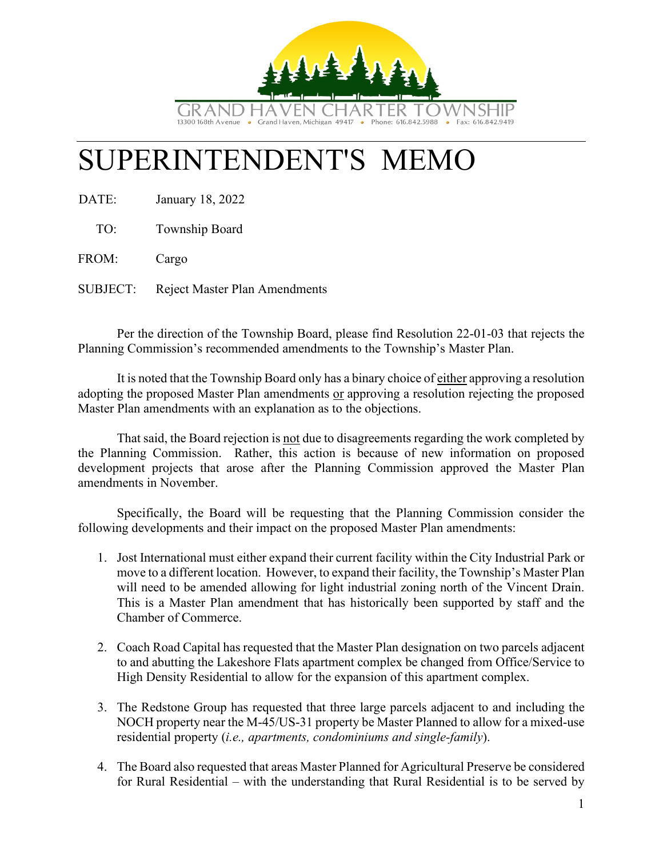

# SUPERINTENDENT'S MEMO

DATE: January 18, 2022

TO: Township Board

FROM: Cargo

SUBJECT: Reject Master Plan Amendments

Per the direction of the Township Board, please find Resolution 22-01-03 that rejects the Planning Commission's recommended amendments to the Township's Master Plan.

It is noted that the Township Board only has a binary choice of either approving a resolution adopting the proposed Master Plan amendments or approving a resolution rejecting the proposed Master Plan amendments with an explanation as to the objections.

That said, the Board rejection is not due to disagreements regarding the work completed by the Planning Commission. Rather, this action is because of new information on proposed development projects that arose after the Planning Commission approved the Master Plan amendments in November.

Specifically, the Board will be requesting that the Planning Commission consider the following developments and their impact on the proposed Master Plan amendments:

- 1. Jost International must either expand their current facility within the City Industrial Park or move to a different location. However, to expand their facility, the Township's Master Plan will need to be amended allowing for light industrial zoning north of the Vincent Drain. This is a Master Plan amendment that has historically been supported by staff and the Chamber of Commerce.
- 2. Coach Road Capital has requested that the Master Plan designation on two parcels adjacent to and abutting the Lakeshore Flats apartment complex be changed from Office/Service to High Density Residential to allow for the expansion of this apartment complex.
- 3. The Redstone Group has requested that three large parcels adjacent to and including the NOCH property near the M-45/US-31 property be Master Planned to allow for a mixed-use residential property (*i.e., apartments, condominiums and single-family*).
- 4. The Board also requested that areas Master Planned for Agricultural Preserve be considered for Rural Residential – with the understanding that Rural Residential is to be served by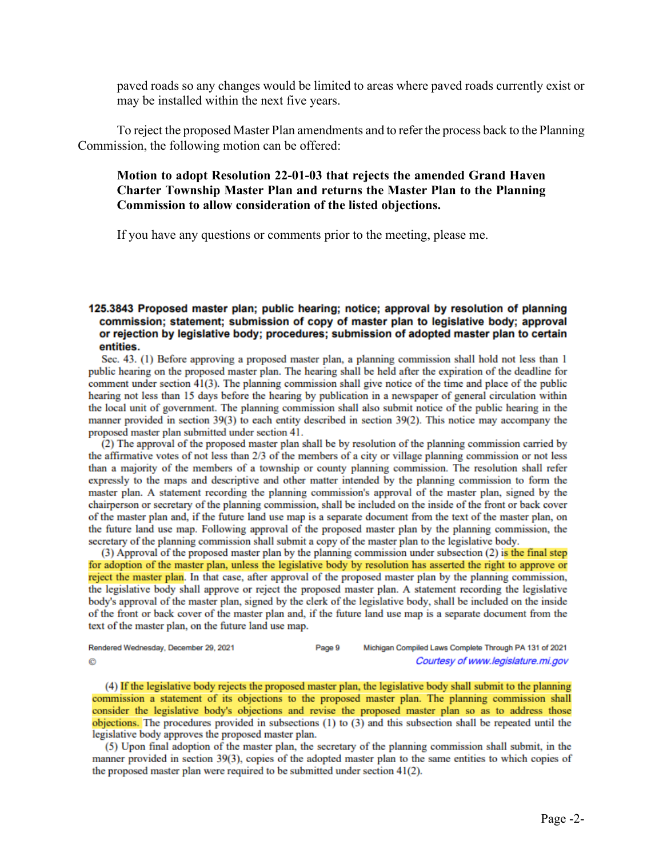paved roads so any changes would be limited to areas where paved roads currently exist or may be installed within the next five years.

To reject the proposed Master Plan amendments and to refer the process back to the Planning Commission, the following motion can be offered:

## **Motion to adopt Resolution 22-01-03 that rejects the amended Grand Haven Charter Township Master Plan and returns the Master Plan to the Planning Commission to allow consideration of the listed objections.**

If you have any questions or comments prior to the meeting, please me.

#### 125.3843 Proposed master plan; public hearing; notice; approval by resolution of planning commission; statement; submission of copy of master plan to legislative body; approval or rejection by legislative body; procedures; submission of adopted master plan to certain entities.

Sec. 43. (1) Before approving a proposed master plan, a planning commission shall hold not less than 1 public hearing on the proposed master plan. The hearing shall be held after the expiration of the deadline for comment under section 41(3). The planning commission shall give notice of the time and place of the public hearing not less than 15 days before the hearing by publication in a newspaper of general circulation within the local unit of government. The planning commission shall also submit notice of the public hearing in the manner provided in section 39(3) to each entity described in section 39(2). This notice may accompany the proposed master plan submitted under section 41.

 $(2)$  The approval of the proposed master plan shall be by resolution of the planning commission carried by the affirmative votes of not less than 2/3 of the members of a city or village planning commission or not less than a majority of the members of a township or county planning commission. The resolution shall refer expressly to the maps and descriptive and other matter intended by the planning commission to form the master plan. A statement recording the planning commission's approval of the master plan, signed by the chairperson or secretary of the planning commission, shall be included on the inside of the front or back cover of the master plan and, if the future land use map is a separate document from the text of the master plan, on the future land use map. Following approval of the proposed master plan by the planning commission, the secretary of the planning commission shall submit a copy of the master plan to the legislative body.

(3) Approval of the proposed master plan by the planning commission under subsection (2) is the final step for adoption of the master plan, unless the legislative body by resolution has asserted the right to approve or reject the master plan. In that case, after approval of the proposed master plan by the planning commission, the legislative body shall approve or reject the proposed master plan. A statement recording the legislative body's approval of the master plan, signed by the clerk of the legislative body, shall be included on the inside of the front or back cover of the master plan and, if the future land use map is a separate document from the text of the master plan, on the future land use map.

| Rendered Wednesday, December 29, 2021 | Page 9 | Michigan Compiled Laws Complete Through PA 131 of 2021 |
|---------------------------------------|--------|--------------------------------------------------------|
| ©                                     |        | Courtesy of www.legislature.mi.gov                     |

(4) If the legislative body rejects the proposed master plan, the legislative body shall submit to the planning commission a statement of its objections to the proposed master plan. The planning commission shall consider the legislative body's objections and revise the proposed master plan so as to address those objections. The procedures provided in subsections  $(1)$  to  $(3)$  and this subsection shall be repeated until the legislative body approves the proposed master plan.

(5) Upon final adoption of the master plan, the secretary of the planning commission shall submit, in the manner provided in section 39(3), copies of the adopted master plan to the same entities to which copies of the proposed master plan were required to be submitted under section 41(2).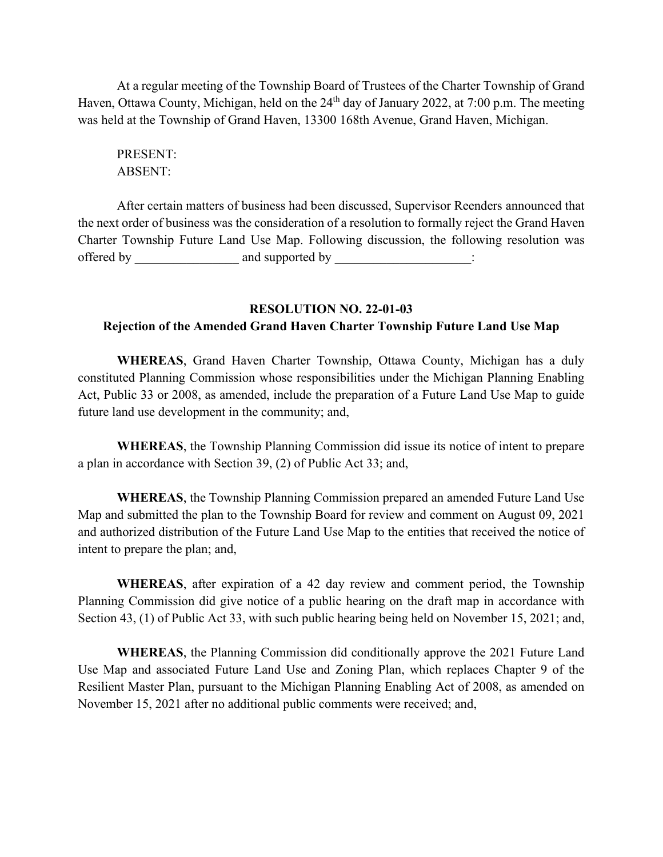At a regular meeting of the Township Board of Trustees of the Charter Township of Grand Haven, Ottawa County, Michigan, held on the 24<sup>th</sup> day of January 2022, at 7:00 p.m. The meeting was held at the Township of Grand Haven, 13300 168th Avenue, Grand Haven, Michigan.

PRESENT: ABSENT:

After certain matters of business had been discussed, Supervisor Reenders announced that the next order of business was the consideration of a resolution to formally reject the Grand Haven Charter Township Future Land Use Map. Following discussion, the following resolution was offered by and supported by  $\cdots$ 

# **RESOLUTION NO. 22-01-03 Rejection of the Amended Grand Haven Charter Township Future Land Use Map**

**WHEREAS**, Grand Haven Charter Township, Ottawa County, Michigan has a duly constituted Planning Commission whose responsibilities under the Michigan Planning Enabling Act, Public 33 or 2008, as amended, include the preparation of a Future Land Use Map to guide future land use development in the community; and,

**WHEREAS**, the Township Planning Commission did issue its notice of intent to prepare a plan in accordance with Section 39, (2) of Public Act 33; and,

**WHEREAS**, the Township Planning Commission prepared an amended Future Land Use Map and submitted the plan to the Township Board for review and comment on August 09, 2021 and authorized distribution of the Future Land Use Map to the entities that received the notice of intent to prepare the plan; and,

**WHEREAS**, after expiration of a 42 day review and comment period, the Township Planning Commission did give notice of a public hearing on the draft map in accordance with Section 43, (1) of Public Act 33, with such public hearing being held on November 15, 2021; and,

**WHEREAS**, the Planning Commission did conditionally approve the 2021 Future Land Use Map and associated Future Land Use and Zoning Plan, which replaces Chapter 9 of the Resilient Master Plan, pursuant to the Michigan Planning Enabling Act of 2008, as amended on November 15, 2021 after no additional public comments were received; and,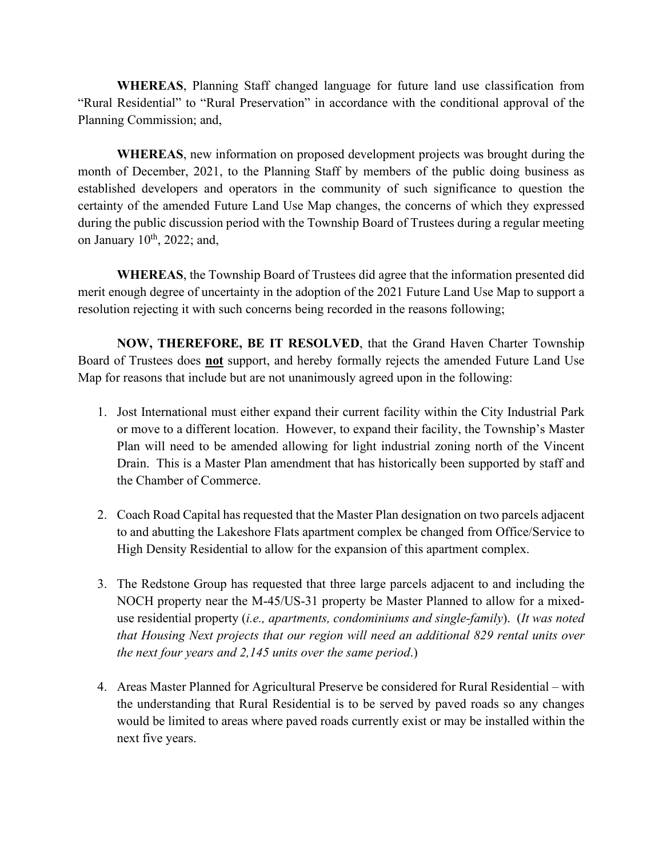**WHEREAS**, Planning Staff changed language for future land use classification from "Rural Residential" to "Rural Preservation" in accordance with the conditional approval of the Planning Commission; and,

**WHEREAS**, new information on proposed development projects was brought during the month of December, 2021, to the Planning Staff by members of the public doing business as established developers and operators in the community of such significance to question the certainty of the amended Future Land Use Map changes, the concerns of which they expressed during the public discussion period with the Township Board of Trustees during a regular meeting on January  $10^{th}$ , 2022; and,

**WHEREAS**, the Township Board of Trustees did agree that the information presented did merit enough degree of uncertainty in the adoption of the 2021 Future Land Use Map to support a resolution rejecting it with such concerns being recorded in the reasons following;

**NOW, THEREFORE, BE IT RESOLVED**, that the Grand Haven Charter Township Board of Trustees does **not** support, and hereby formally rejects the amended Future Land Use Map for reasons that include but are not unanimously agreed upon in the following:

- 1. Jost International must either expand their current facility within the City Industrial Park or move to a different location. However, to expand their facility, the Township's Master Plan will need to be amended allowing for light industrial zoning north of the Vincent Drain. This is a Master Plan amendment that has historically been supported by staff and the Chamber of Commerce.
- 2. Coach Road Capital has requested that the Master Plan designation on two parcels adjacent to and abutting the Lakeshore Flats apartment complex be changed from Office/Service to High Density Residential to allow for the expansion of this apartment complex.
- 3. The Redstone Group has requested that three large parcels adjacent to and including the NOCH property near the M-45/US-31 property be Master Planned to allow for a mixeduse residential property (*i.e., apartments, condominiums and single-family*). (*It was noted that Housing Next projects that our region will need an additional 829 rental units over the next four years and 2,145 units over the same period*.)
- 4. Areas Master Planned for Agricultural Preserve be considered for Rural Residential with the understanding that Rural Residential is to be served by paved roads so any changes would be limited to areas where paved roads currently exist or may be installed within the next five years.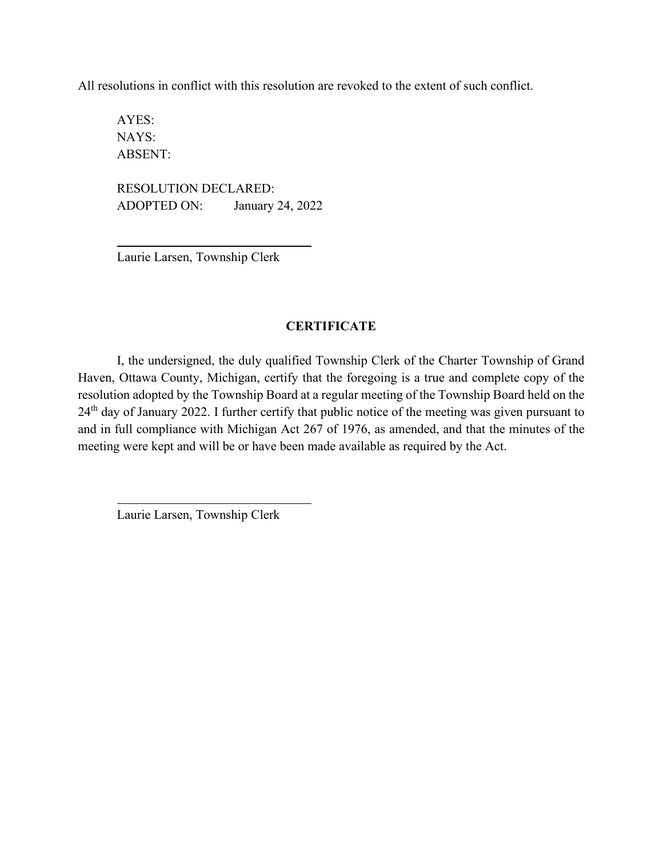All resolutions in conflict with this resolution are revoked to the extent of such conflict.

AYES: NAYS: ABSENT:

RESOLUTION DECLARED: ADOPTED ON: January 24, 2022

Laurie Larsen, Township Clerk

## **CERTIFICATE**

I, the undersigned, the duly qualified Township Clerk of the Charter Township of Grand Haven, Ottawa County, Michigan, certify that the foregoing is a true and complete copy of the resolution adopted by the Township Board at a regular meeting of the Township Board held on the 24<sup>th</sup> day of January 2022. I further certify that public notice of the meeting was given pursuant to and in full compliance with Michigan Act 267 of 1976, as amended, and that the minutes of the meeting were kept and will be or have been made available as required by the Act.

Laurie Larsen, Township Clerk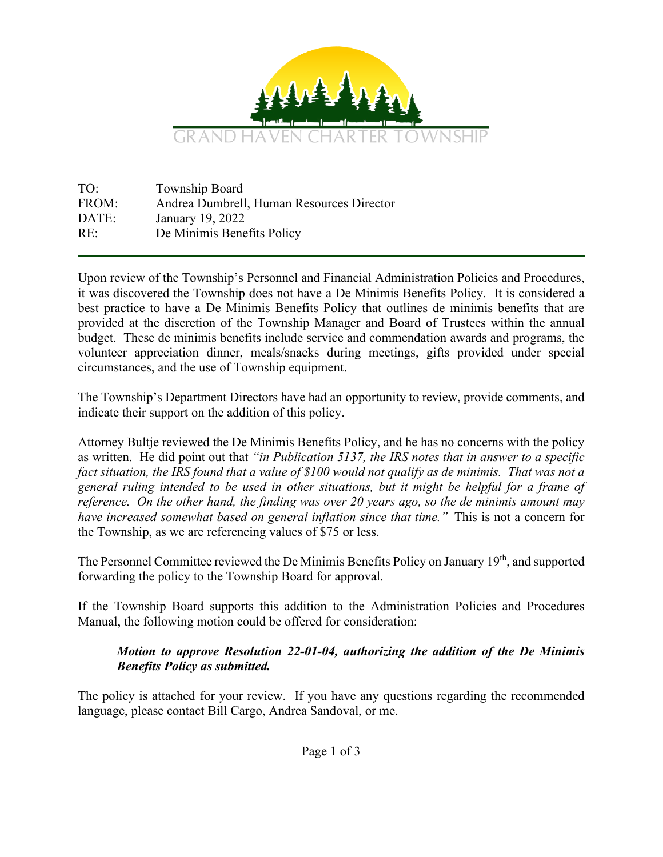

TO: Township Board FROM: Andrea Dumbrell, Human Resources Director DATE: January 19, 2022 RE: De Minimis Benefits Policy

Upon review of the Township's Personnel and Financial Administration Policies and Procedures, it was discovered the Township does not have a De Minimis Benefits Policy. It is considered a best practice to have a De Minimis Benefits Policy that outlines de minimis benefits that are provided at the discretion of the Township Manager and Board of Trustees within the annual budget. These de minimis benefits include service and commendation awards and programs, the volunteer appreciation dinner, meals/snacks during meetings, gifts provided under special circumstances, and the use of Township equipment.

The Township's Department Directors have had an opportunity to review, provide comments, and indicate their support on the addition of this policy.

Attorney Bultje reviewed the De Minimis Benefits Policy, and he has no concerns with the policy as written. He did point out that *"in Publication 5137, the IRS notes that in answer to a specific fact situation, the IRS found that a value of \$100 would not qualify as de minimis. That was not a general ruling intended to be used in other situations, but it might be helpful for a frame of reference. On the other hand, the finding was over 20 years ago, so the de minimis amount may have increased somewhat based on general inflation since that time."* This is not a concern for the Township, as we are referencing values of \$75 or less.

The Personnel Committee reviewed the De Minimis Benefits Policy on January 19<sup>th</sup>, and supported forwarding the policy to the Township Board for approval.

If the Township Board supports this addition to the Administration Policies and Procedures Manual, the following motion could be offered for consideration:

# *Motion to approve Resolution 22-01-04, authorizing the addition of the De Minimis Benefits Policy as submitted.*

The policy is attached for your review. If you have any questions regarding the recommended language, please contact Bill Cargo, Andrea Sandoval, or me.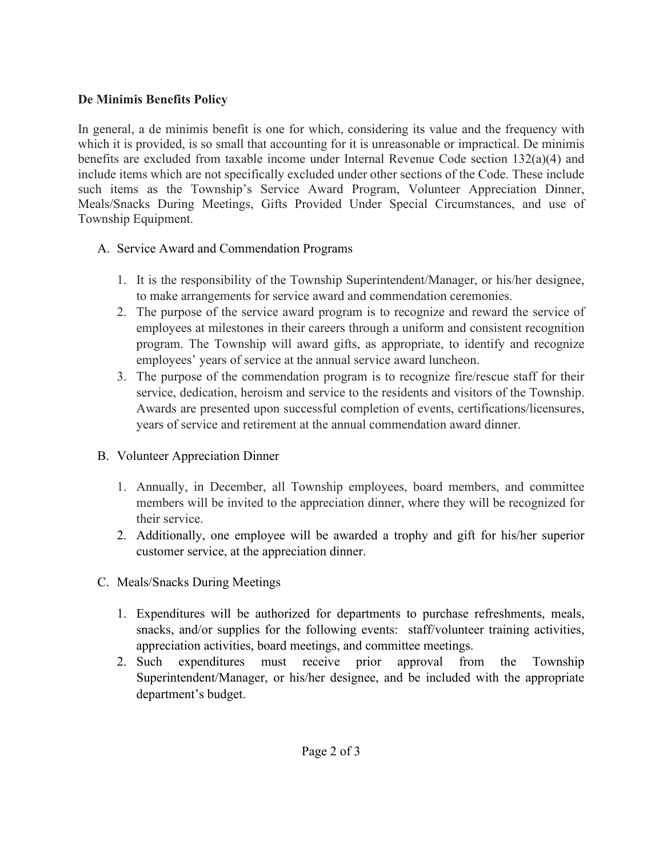# **De Minimis Benefits Policy**

In general, a de minimis benefit is one for which, considering its value and the frequency with which it is provided, is so small that accounting for it is unreasonable or impractical. De minimis benefits are excluded from taxable income under Internal Revenue Code section 132(a)(4) and include items which are not specifically excluded under other sections of the Code. These include such items as the Township's Service Award Program, Volunteer Appreciation Dinner, Meals/Snacks During Meetings, Gifts Provided Under Special Circumstances, and use of Township Equipment.

# A. Service Award and Commendation Programs

- 1. It is the responsibility of the Township Superintendent/Manager, or his/her designee, to make arrangements for service award and commendation ceremonies.
- 2. The purpose of the service award program is to recognize and reward the service of employees at milestones in their careers through a uniform and consistent recognition program. The Township will award gifts, as appropriate, to identify and recognize employees' years of service at the annual service award luncheon.
- 3. The purpose of the commendation program is to recognize fire/rescue staff for their service, dedication, heroism and service to the residents and visitors of the Township. Awards are presented upon successful completion of events, certifications/licensures, years of service and retirement at the annual commendation award dinner.
- B. Volunteer Appreciation Dinner
	- 1. Annually, in December, all Township employees, board members, and committee members will be invited to the appreciation dinner, where they will be recognized for their service.
	- 2. Additionally, one employee will be awarded a trophy and gift for his/her superior customer service, at the appreciation dinner.
- C. Meals/Snacks During Meetings
	- 1. Expenditures will be authorized for departments to purchase refreshments, meals, snacks, and/or supplies for the following events: staff/volunteer training activities, appreciation activities, board meetings, and committee meetings.
	- 2. Such expenditures must receive prior approval from the Township Superintendent/Manager, or his/her designee, and be included with the appropriate department's budget.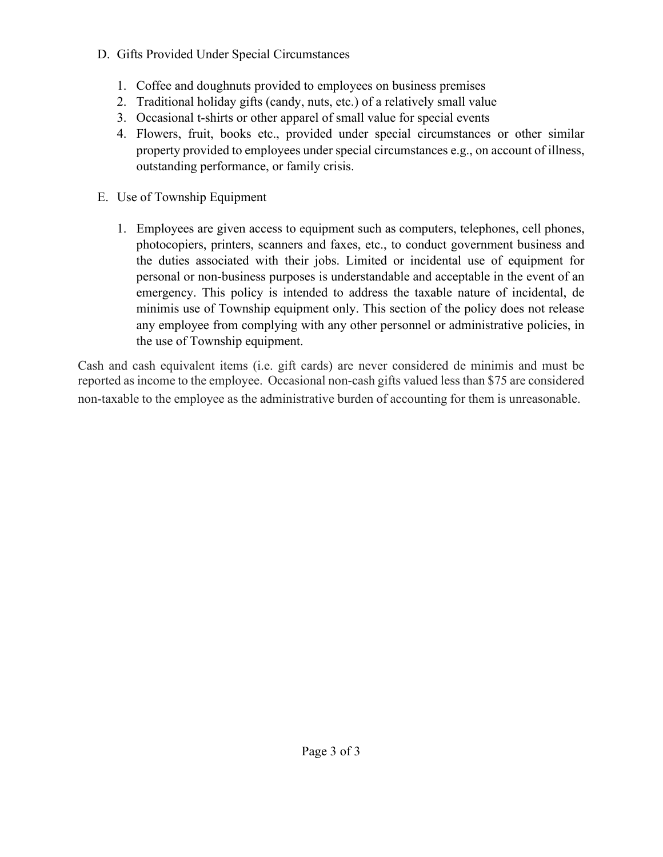# D. Gifts Provided Under Special Circumstances

- 1. Coffee and doughnuts provided to employees on business premises
- 2. Traditional holiday gifts (candy, nuts, etc.) of a relatively small value
- 3. Occasional t-shirts or other apparel of small value for special events
- 4. Flowers, fruit, books etc., provided under special circumstances or other similar property provided to employees under special circumstances e.g., on account of illness, outstanding performance, or family crisis.
- E. Use of Township Equipment
	- 1. Employees are given access to equipment such as computers, telephones, cell phones, photocopiers, printers, scanners and faxes, etc., to conduct government business and the duties associated with their jobs. Limited or incidental use of equipment for personal or non-business purposes is understandable and acceptable in the event of an emergency. This policy is intended to address the taxable nature of incidental, de minimis use of Township equipment only. This section of the policy does not release any employee from complying with any other personnel or administrative policies, in the use of Township equipment.

Cash and cash equivalent items (i.e. gift cards) are never considered de minimis and must be reported as income to the employee. Occasional non-cash gifts valued less than \$75 are considered non-taxable to the employee as the administrative burden of accounting for them is unreasonable.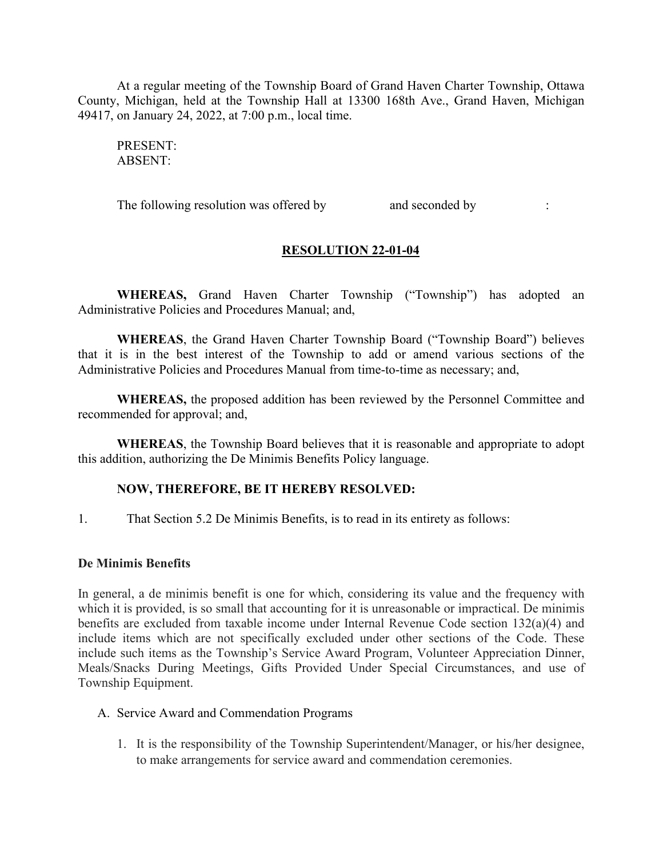At a regular meeting of the Township Board of Grand Haven Charter Township, Ottawa County, Michigan, held at the Township Hall at 13300 168th Ave., Grand Haven, Michigan 49417, on January 24, 2022, at 7:00 p.m., local time.

PRESENT: ABSENT:

The following resolution was offered by and seconded by :

## **RESOLUTION 22-01-04**

**WHEREAS,** Grand Haven Charter Township ("Township") has adopted an Administrative Policies and Procedures Manual; and,

**WHEREAS**, the Grand Haven Charter Township Board ("Township Board") believes that it is in the best interest of the Township to add or amend various sections of the Administrative Policies and Procedures Manual from time-to-time as necessary; and,

**WHEREAS,** the proposed addition has been reviewed by the Personnel Committee and recommended for approval; and,

**WHEREAS**, the Township Board believes that it is reasonable and appropriate to adopt this addition, authorizing the De Minimis Benefits Policy language.

### **NOW, THEREFORE, BE IT HEREBY RESOLVED:**

1. That Section 5.2 De Minimis Benefits, is to read in its entirety as follows:

#### **De Minimis Benefits**

In general, a de minimis benefit is one for which, considering its value and the frequency with which it is provided, is so small that accounting for it is unreasonable or impractical. De minimis benefits are excluded from taxable income under Internal Revenue Code section 132(a)(4) and include items which are not specifically excluded under other sections of the Code. These include such items as the Township's Service Award Program, Volunteer Appreciation Dinner, Meals/Snacks During Meetings, Gifts Provided Under Special Circumstances, and use of Township Equipment.

#### A. Service Award and Commendation Programs

1. It is the responsibility of the Township Superintendent/Manager, or his/her designee, to make arrangements for service award and commendation ceremonies.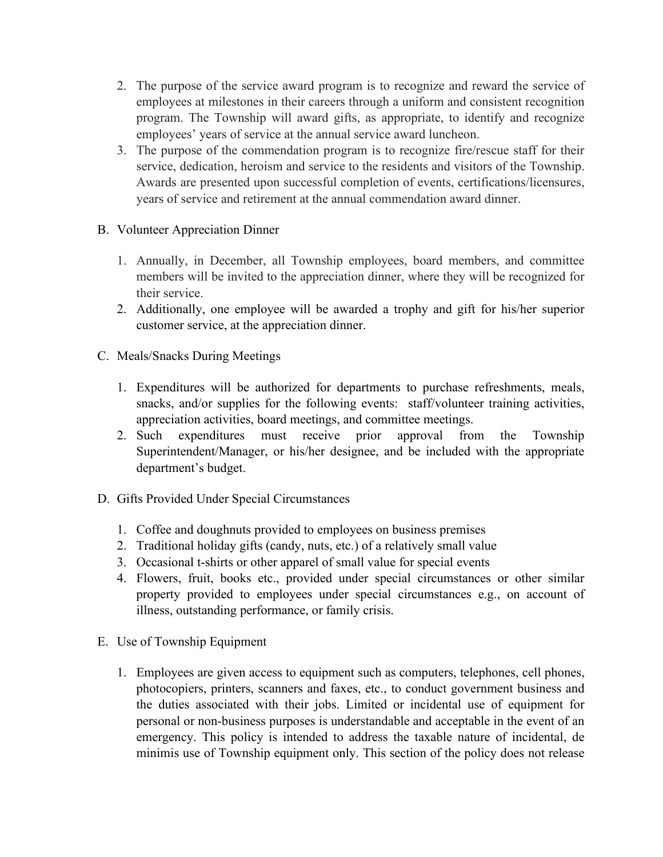- 2. The purpose of the service award program is to recognize and reward the service of employees at milestones in their careers through a uniform and consistent recognition program. The Township will award gifts, as appropriate, to identify and recognize employees' years of service at the annual service award luncheon.
- 3. The purpose of the commendation program is to recognize fire/rescue staff for their service, dedication, heroism and service to the residents and visitors of the Township. Awards are presented upon successful completion of events, certifications/licensures, years of service and retirement at the annual commendation award dinner.
- B. Volunteer Appreciation Dinner
	- 1. Annually, in December, all Township employees, board members, and committee members will be invited to the appreciation dinner, where they will be recognized for their service.
	- 2. Additionally, one employee will be awarded a trophy and gift for his/her superior customer service, at the appreciation dinner.
- C. Meals/Snacks During Meetings
	- 1. Expenditures will be authorized for departments to purchase refreshments, meals, snacks, and/or supplies for the following events: staff/volunteer training activities, appreciation activities, board meetings, and committee meetings.
	- 2. Such expenditures must receive prior approval from the Township Superintendent/Manager, or his/her designee, and be included with the appropriate department's budget.
- D. Gifts Provided Under Special Circumstances
	- 1. Coffee and doughnuts provided to employees on business premises
	- 2. Traditional holiday gifts (candy, nuts, etc.) of a relatively small value
	- 3. Occasional t-shirts or other apparel of small value for special events
	- 4. Flowers, fruit, books etc., provided under special circumstances or other similar property provided to employees under special circumstances e.g., on account of illness, outstanding performance, or family crisis.
- E. Use of Township Equipment
	- 1. Employees are given access to equipment such as computers, telephones, cell phones, photocopiers, printers, scanners and faxes, etc., to conduct government business and the duties associated with their jobs. Limited or incidental use of equipment for personal or non-business purposes is understandable and acceptable in the event of an emergency. This policy is intended to address the taxable nature of incidental, de minimis use of Township equipment only. This section of the policy does not release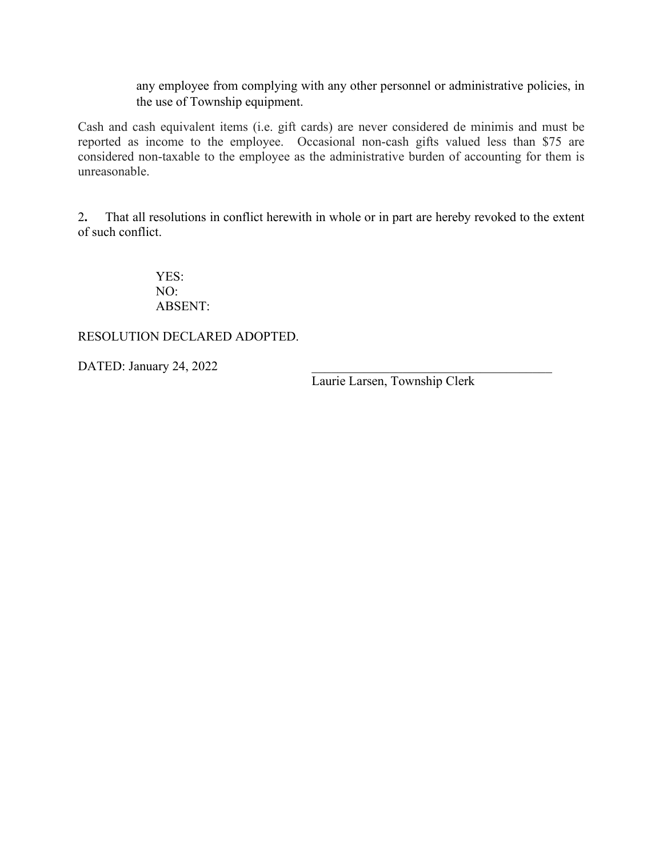any employee from complying with any other personnel or administrative policies, in the use of Township equipment.

Cash and cash equivalent items (i.e. gift cards) are never considered de minimis and must be reported as income to the employee. Occasional non-cash gifts valued less than \$75 are considered non-taxable to the employee as the administrative burden of accounting for them is unreasonable.

2**.** That all resolutions in conflict herewith in whole or in part are hereby revoked to the extent of such conflict.

> YES: NO: ABSENT:

RESOLUTION DECLARED ADOPTED.

DATED: January 24, 2022

Laurie Larsen, Township Clerk